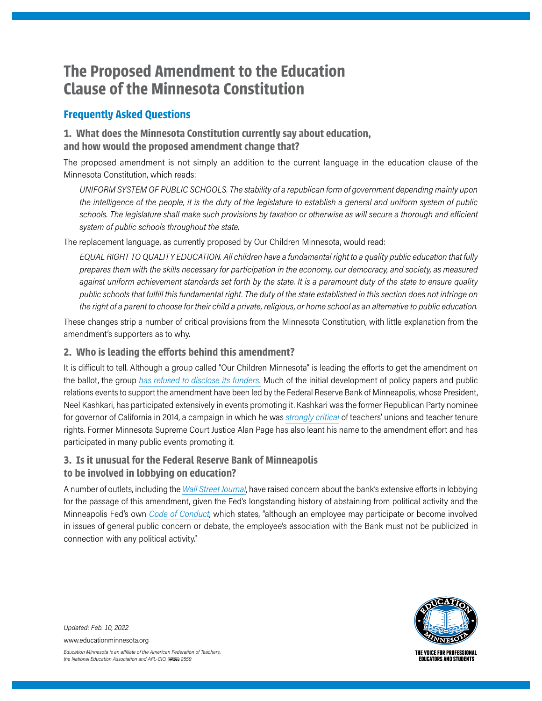# **The Proposed Amendment to the Education Clause of the Minnesota Constitution**

# **Frequently Asked Questions**

## **1. What does the Minnesota Constitution currently say about education, and how would the proposed amendment change that?**

The proposed amendment is not simply an addition to the current language in the education clause of the Minnesota Constitution, which reads:

*UNIFORM SYSTEM OF PUBLIC SCHOOLS. The stability of a republican form of government depending mainly upon the intelligence of the people, it is the duty of the legislature to establish a general and uniform system of public schools. The legislature shall make such provisions by taxation or otherwise as will secure a thorough and efficient system of public schools throughout the state.*

The replacement language, as currently proposed by Our Children Minnesota, would read:

*EQUAL RIGHT TO QUALITY EDUCATION. All children have a fundamental right to a quality public education that fully prepares them with the skills necessary for participation in the economy, our democracy, and society, as measured against uniform achievement standards set forth by the state. It is a paramount duty of the state to ensure quality public schools that fulfill this fundamental right. The duty of the state established in this section does not infringe on the right of a parent to choose for their child a private, religious, or home school as an alternative to public education.*

These changes strip a number of critical provisions from the Minnesota Constitution, with little explanation from the amendment's supporters as to why.

### **2. Who is leading the efforts behind this amendment?**

It is difficult to tell. Although a group called "Our Children Minnesota" is leading the efforts to get the amendment on the ballot, the group *[has refused to disclose its funders.](https://www.minnpost.com/state-government/2022/01/why-a-new-push-for-the-page-amendment-could-end-up-being-one-of-the-2022-legislatures-biggest-fights/)* Much of the initial development of policy papers and public relations events to support the amendment have been led by the Federal Reserve Bank of Minneapolis, whose President, Neel Kashkari, has participated extensively in events promoting it. Kashkari was the former Republican Party nominee for governor of California in 2014, a campaign in which he was *[strongly critical](https://www.c-span.org/video/?c4507792/user-clip-debate-kashkari-rebuttal-vergara)* of teachers' unions and teacher tenure rights. Former Minnesota Supreme Court Justice Alan Page has also leant his name to the amendment effort and has participated in many public events promoting it.

## **3. Is it unusual for the Federal Reserve Bank of Minneapolis to be involved in lobbying on education?**

A number of outlets, including the *[Wall Street Journal](https://www.wsj.com/articles/a-political-venture-at-the-fed-11620244815)*, have raised concern about the bank's extensive efforts in lobbying for the passage of this amendment, given the Fed's longstanding history of abstaining from political activity and the Minneapolis Fed's own *[Code of Conduct](https://www.minneapolisfed.org/~/media/files/about/codeofconduct.pdf?la=en)*, which states, "although an employee may participate or become involved in issues of general public concern or debate, the employee's association with the Bank must not be publicized in connection with any political activity."



*Updated: Feb. 10, 2022*

www.educationminnesota.org

*Education Minnesota is an a iliate of the American Federation of Teachers, the National Education Association and AFL-CIO. 2559*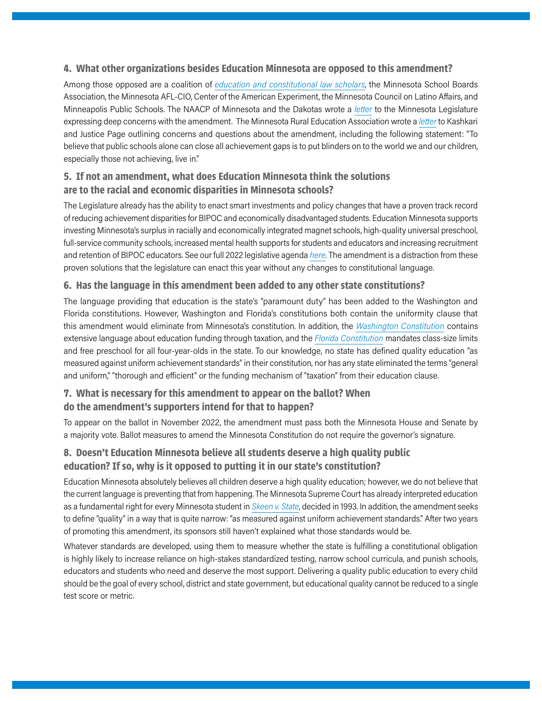#### **4. What other organizations besides Education Minnesota are opposed to this amendment?**

Among those opposed are a coalition of *[education and constitutional law scholars](https://edlawcenter.org/news/archives/other-states/education-experts-and-scholars-proposed-minnesota-constitutional-amendment-threatens-students%E2%80%99-rights.html)*, the Minnesota School Boards Association, the Minnesota AFL-CIO, Center of the American Experiment, the Minnesota Council on Latino Affairs, and Minneapolis Public Schools. The NAACP of Minnesota and the Dakotas wrote a *[letter](https://www.house.leg.state.mn.us/comm/docs/5pMFv5Q69UmBn7FrsUBIDw.pdf)* to the Minnesota Legislature expressing deep concerns with the amendment. The Minnesota Rural Education Association wrote a *[letter](https://www.mreavoice.org/wp-content/uploads/2020/02/MREA-Board-Observations-and-Questions-2-4-20.pdf)* to Kashkari and Justice Page outlining concerns and questions about the amendment, including the following statement: "To believe that public schools alone can close all achievement gaps is to put blinders on to the world we and our children, especially those not achieving, live in."

## **5. If not an amendment, what does Education Minnesota think the solutions are to the racial and economic disparities in Minnesota schools?**

The Legislature already has the ability to enact smart investments and policy changes that have a proven track record of reducing achievement disparities for BIPOC and economically disadvantaged students. Education Minnesota supports investing Minnesota's surplus in racially and economically integrated magnet schools, high-quality universal preschool, full-service community schools, increased mental health supports for students and educators and increasing recruitment and retention of BIPOC educators. See our full 2022 legislative agenda *[here](https://educationminnesota.org/wp-content/uploads/2021/07/2022_LegislativeAgenda.pdf)*. The amendment is a distraction from these proven solutions that the legislature can enact this year without any changes to constitutional language.

#### **6. Has the language in this amendment been added to any other state constitutions?**

The language providing that education is the state's "paramount duty" has been added to the Washington and Florida constitutions. However, Washington and Florida's constitutions both contain the uniformity clause that this amendment would eliminate from Minnesota's constitution. In addition, the *[Washington Constitution](https://law.justia.com/constitution/washington/constitution-9.html)* contains extensive language about education funding through taxation, and the *[Florida Constitution](https://edlawcenter.org/litigation/states/florida.html#:~:text=STATE%20CONSTITUTION,children%20residing%20within%20its%20borders.)* mandates class-size limits and free preschool for all four-year-olds in the state. To our knowledge, no state has defined quality education "as measured against uniform achievement standards" in their constitution, nor has any state eliminated the terms "general and uniform," "thorough and efficient" or the funding mechanism of "taxation" from their education clause.

#### **7. What is necessary for this amendment to appear on the ballot? When do the amendment's supporters intend for that to happen?**

To appear on the ballot in November 2022, the amendment must pass both the Minnesota House and Senate by a majority vote. Ballot measures to amend the Minnesota Constitution do not require the governor's signature.

## **8. Doesn't Education Minnesota believe all students deserve a high quality public education? If so, why is it opposed to putting it in our state's constitution?**

Education Minnesota absolutely believes all children deserve a high quality education; however, we do not believe that the current language is preventing that from happening. The Minnesota Supreme Court has already interpreted education as a fundamental right for every Minnesota student in *[Skeen v. State](https://law.justia.com/cases/minnesota/supreme-court/1993/c5-92-677-2.html)*, decided in 1993. In addition, the amendment seeks to define "quality" in a way that is quite narrow: "as measured against uniform achievement standards." After two years of promoting this amendment, its sponsors still haven't explained what those standards would be.

Whatever standards are developed, using them to measure whether the state is fulfilling a constitutional obligation is highly likely to increase reliance on high-stakes standardized testing, narrow school curricula, and punish schools, educators and students who need and deserve the most support. Delivering a quality public education to every child should be the goal of every school, district and state government, but educational quality cannot be reduced to a single test score or metric.